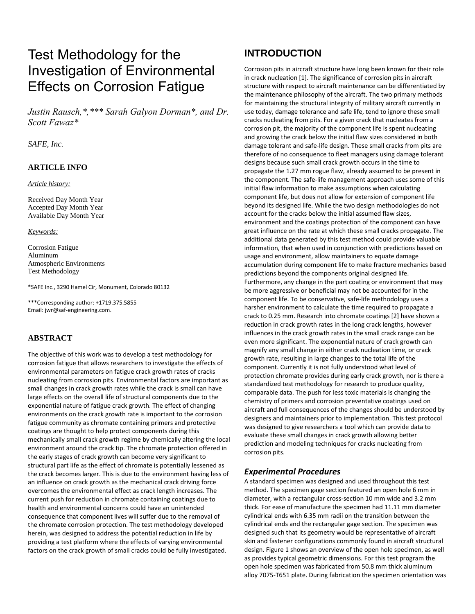# Test Methodology for the Investigation of Environmental Effects on Corrosion Fatigue

*Justin Rausch,\*,\*\*\* Sarah Galyon Dorman\*, and Dr. Scott Fawaz\** 

*SAFE, Inc.*

# **ARTICLE INFO**

#### *Article history:*

Received Day Month Year Accepted Day Month Year Available Day Month Year

#### *Keywords:*

Corrosion Fatigue Aluminum Atmospheric Environments Test Methodology

\*SAFE Inc., 3290 Hamel Cir, Monument, Colorado 80132

\*\*\*Corresponding author: +1719.375.5855 Email: jwr@saf-engineering.com.

# **ABSTRACT**

The objective of this work was to develop a test methodology for corrosion fatigue that allows researchers to investigate the effects of environmental parameters on fatigue crack growth rates of cracks nucleating from corrosion pits. Environmental factors are important as small changes in crack growth rates while the crack is small can have large effects on the overall life of structural components due to the exponential nature of fatigue crack growth. The effect of changing environments on the crack growth rate is important to the corrosion fatigue community as chromate containing primers and protective coatings are thought to help protect components during this mechanically small crack growth regime by chemically altering the local environment around the crack tip. The chromate protection offered in the early stages of crack growth can become very significant to structural part life as the effect of chromate is potentially lessened as the crack becomes larger. This is due to the environment having less of an influence on crack growth as the mechanical crack driving force overcomes the environmental effect as crack length increases. The current push for reduction in chromate containing coatings due to health and environmental concerns could have an unintended consequence that component lives will suffer due to the removal of the chromate corrosion protection. The test methodology developed herein, was designed to address the potential reduction in life by providing a test platform where the effects of varying environmental factors on the crack growth of small cracks could be fully investigated.

# **INTRODUCTION**

Corrosion pits in aircraft structure have long been known for their role in crack nucleation [1]. The significance of corrosion pits in aircraft structure with respect to aircraft maintenance can be differentiated by the maintenance philosophy of the aircraft. The two primary methods for maintaining the structural integrity of military aircraft currently in use today, damage tolerance and safe life, tend to ignore these small cracks nucleating from pits. For a given crack that nucleates from a corrosion pit, the majority of the component life is spent nucleating and growing the crack below the initial flaw sizes considered in both damage tolerant and safe-life design. These small cracks from pits are therefore of no consequence to fleet managers using damage tolerant designs because such small crack growth occurs in the time to propagate the 1.27 mm rogue flaw, already assumed to be present in the component. The safe-life management approach uses some of this initial flaw information to make assumptions when calculating component life, but does not allow for extension of component life beyond its designed life. While the two design methodologies do not account for the cracks below the initial assumed flaw sizes, environment and the coatings protection of the component can have great influence on the rate at which these small cracks propagate. The additional data generated by this test method could provide valuable information, that when used in conjunction with predictions based on usage and environment, allow maintainers to equate damage accumulation during component life to make fracture mechanics based predictions beyond the components original designed life. Furthermore, any change in the part coating or environment that may be more aggressive or beneficial may not be accounted for in the component life. To be conservative, safe-life methodology uses a harsher environment to calculate the time required to propagate a crack to 0.25 mm. Research into chromate coatings [2] have shown a reduction in crack growth rates in the long crack lengths, however influences in the crack growth rates in the small crack range can be even more significant. The exponential nature of crack growth can magnify any small change in either crack nucleation time, or crack growth rate, resulting in large changes to the total life of the component. Currently it is not fully understood what level of protection chromate provides during early crack growth, nor is there a standardized test methodology for research to produce quality, comparable data. The push for less toxic materials is changing the chemistry of primers and corrosion preventative coatings used on aircraft and full consequences of the changes should be understood by designers and maintainers prior to implementation. This test protocol was designed to give researchers a tool which can provide data to evaluate these small changes in crack growth allowing better prediction and modeling techniques for cracks nucleating from corrosion pits.

# *Experimental Procedures*

A standard specimen was designed and used throughout this test method. The specimen gage section featured an open hole 6 mm in diameter, with a rectangular cross-section 10 mm wide and 3.2 mm thick. For ease of manufacture the specimen had 11.11 mm diameter cylindrical ends with 6.35 mm radii on the transition between the cylindrical ends and the rectangular gage section. The specimen was designed such that its geometry would be representative of aircraft skin and fastener configurations commonly found in aircraft structural design. Figure 1 shows an overview of the open hole specimen, as well as provides typical geometric dimensions. For this test program the open hole specimen was fabricated from 50.8 mm thick aluminum alloy 7075-T651 plate. During fabrication the specimen orientation was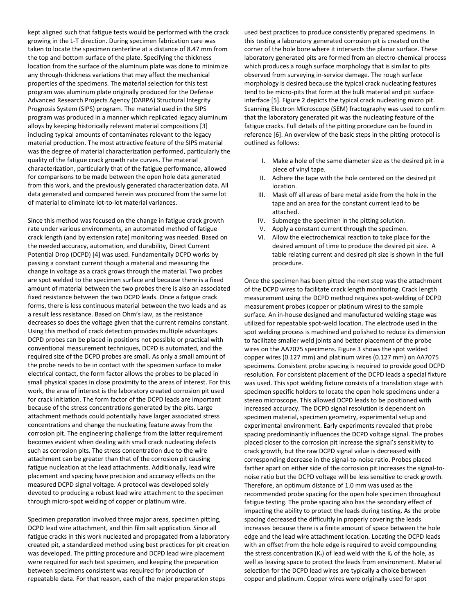kept aligned such that fatigue tests would be performed with the crack growing in the L-T direction. During specimen fabrication care was taken to locate the specimen centerline at a distance of 8.47 mm from the top and bottom surface of the plate. Specifying the thickness location from the surface of the aluminum plate was done to minimize any through-thickness variations that may affect the mechanical properties of the specimens. The material selection for this test program was aluminum plate originally produced for the Defense Advanced Research Projects Agency (DARPA) Structural Integrity Prognosis System (SIPS) program. The material used in the SIPS program was produced in a manner which replicated legacy aluminum alloys by keeping historically relevant material compositions [3] including typical amounts of contaminates relevant to the legacy material production. The most attractive feature of the SIPS material was the degree of material characterization performed, particularly the quality of the fatigue crack growth rate curves. The material characterization, particularly that of the fatigue performance, allowed for comparisons to be made between the open hole data generated from this work, and the previously generated characterization data. All data generated and compared herein was procured from the same lot of material to eliminate lot-to-lot material variances.

Since this method was focused on the change in fatigue crack growth rate under various environments, an automated method of fatigue crack length (and by extension rate) monitoring was needed. Based on the needed accuracy, automation, and durability, Direct Current Potential Drop (DCPD) [4] was used. Fundamentally DCPD works by passing a constant current though a material and measuring the change in voltage as a crack grows through the material. Two probes are spot welded to the specimen surface and because there is a fixed amount of material between the two probes there is also an associated fixed resistance between the two DCPD leads. Once a fatigue crack forms, there is less continuous material between the two leads and as a result less resistance. Based on Ohm's law, as the resistance decreases so does the voltage given that the current remains constant. Using this method of crack detection provides multiple advantages. DCPD probes can be placed in positions not possible or practical with conventional measurement techniques, DCPD is automated, and the required size of the DCPD probes are small. As only a small amount of the probe needs to be in contact with the specimen surface to make electrical contact, the form factor allows the probes to be placed in small physical spaces in close proximity to the areas of interest. For this work, the area of interest is the laboratory created corrosion pit used for crack initiation. The form factor of the DCPD leads are important because of the stress concentrations generated by the pits. Large attachment methods could potentially have larger associated stress concentrations and change the nucleating feature away from the corrosion pit. The engineering challenge from the latter requirement becomes evident when dealing with small crack nucleating defects such as corrosion pits. The stress concentration due to the wire attachment can be greater than that of the corrosion pit causing fatigue nucleation at the lead attachments. Additionally, lead wire placement and spacing have precision and accuracy effects on the measured DCPD signal voltage. A protocol was developed solely devoted to producing a robust lead wire attachment to the specimen through micro-spot welding of copper or platinum wire.

Specimen preparation involved three major areas, specimen pitting, DCPD lead wire attachment, and thin film salt application. Since all fatigue cracks in this work nucleated and propagated from a laboratory created pit, a standardized method using best practices for pit creation was developed. The pitting procedure and DCPD lead wire placement were required for each test specimen, and keeping the preparation between specimens consistent was required for production of repeatable data. For that reason, each of the major preparation steps

used best practices to produce consistently prepared specimens. In this testing a laboratory generated corrosion pit is created on the corner of the hole bore where it intersects the planar surface. These laboratory generated pits are formed from an electro-chemical process which produces a rough surface morphology that is similar to pits observed from surveying in-service damage. The rough surface morphology is desired because the typical crack nucleating features tend to be micro-pits that form at the bulk material and pit surface interface [5]. Figure 2 depicts the typical crack nucleating micro pit. Scanning Electron Microscope (SEM) fractography was used to confirm that the laboratory generated pit was the nucleating feature of the fatigue cracks. Full details of the pitting procedure can be found in reference [6]. An overview of the basic steps in the pitting protocol is outlined as follows:

- I. Make a hole of the same diameter size as the desired pit in a piece of vinyl tape.
- II. Adhere the tape with the hole centered on the desired pit location.
- III. Mask off all areas of bare metal aside from the hole in the tape and an area for the constant current lead to be attached.
- IV. Submerge the specimen in the pitting solution.
- V. Apply a constant current through the specimen.
- VI. Allow the electrochemical reaction to take place for the desired amount of time to produce the desired pit size. A table relating current and desired pit size is shown in the full procedure.

Once the specimen has been pitted the next step was the attachment of the DCPD wires to facilitate crack length monitoring. Crack length measurement using the DCPD method requires spot-welding of DCPD measurement probes (copper or platinum wires) to the sample surface. An in-house designed and manufactured welding stage was utilized for repeatable spot-weld location. The electrode used in the spot welding process is machined and polished to reduce its dimension to facilitate smaller weld joints and better placement of the probe wires on the AA7075 specimens. Figure 3 shows the spot welded copper wires (0.127 mm) and platinum wires (0.127 mm) on AA7075 specimens. Consistent probe spacing is required to provide good DCPD resolution. For consistent placement of the DCPD leads a special fixture was used. This spot welding fixture consists of a translation stage with specimen specific holders to locate the open hole specimens under a stereo microscope. This allowed DCPD leads to be positioned with increased accuracy. The DCPD signal resolution is dependent on specimen material, specimen geometry, experimental setup and experimental environment. Early experiments revealed that probe spacing predominantly influences the DCPD voltage signal. The probes placed closer to the corrosion pit increase the signal's sensitivity to crack growth, but the raw DCPD signal value is decreased with corresponding decrease in the signal-to-noise ratio. Probes placed farther apart on either side of the corrosion pit increases the signal-tonoise ratio but the DCPD voltage will be less sensitive to crack growth. Therefore, an optimum distance of 1.0 mm was used as the recommended probe spacing for the open hole specimen throughout fatigue testing. The probe spacing also has the secondary effect of impacting the ability to protect the leads during testing. As the probe spacing decreased the difficultly in properly covering the leads increases because there is a finite amount of space between the hole edge and the lead wire attachment location. Locating the DCPD leads with an offset from the hole edge is required to avoid compounding the stress concentration  $(K_t)$  of lead weld with the  $K_t$  of the hole, as well as leaving space to protect the leads from environment. Material selection for the DCPD lead wires are typically a choice between copper and platinum. Copper wires were originally used for spot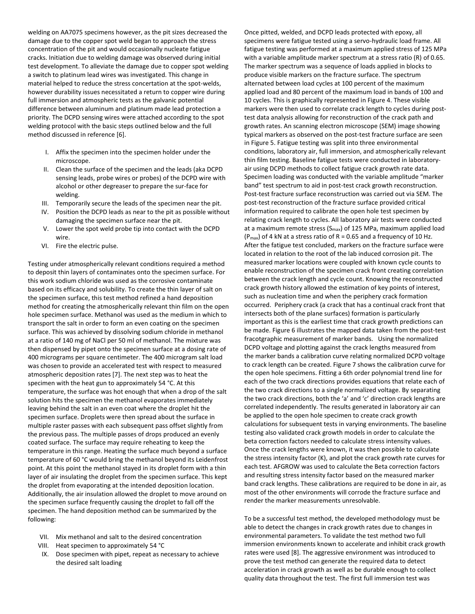welding on AA7075 specimens however, as the pit sizes decreased the damage due to the copper spot weld began to approach the stress concentration of the pit and would occasionally nucleate fatigue cracks. Initiation due to welding damage was observed during initial test development. To alleviate the damage due to copper spot welding a switch to platinum lead wires was investigated. This change in material helped to reduce the stress concertation at the spot-welds, however durability issues necessitated a return to copper wire during full immersion and atmospheric tests as the galvanic potential difference between aluminum and platinum made lead protection a priority. The DCPD sensing wires were attached according to the spot welding protocol with the basic steps outlined below and the full method discussed in reference [6].

- I. Affix the specimen into the specimen holder under the microscope.
- II. Clean the surface of the specimen and the leads (aka DCPD sensing leads, probe wires or probes) of the DCPD wire with alcohol or other degreaser to prepare the sur-face for welding.
- III. Temporarily secure the leads of the specimen near the pit.
- IV. Position the DCPD leads as near to the pit as possible without damaging the specimen surface near the pit.
- V. Lower the spot weld probe tip into contact with the DCPD wire.
- VI. Fire the electric pulse.

Testing under atmospherically relevant conditions required a method to deposit thin layers of contaminates onto the specimen surface. For this work sodium chloride was used as the corrosive contaminate based on its efficacy and solubility. To create the thin layer of salt on the specimen surface, this test method refined a hand deposition method for creating the atmospherically relevant thin film on the open hole specimen surface. Methanol was used as the medium in which to transport the salt in order to form an even coating on the specimen surface. This was achieved by dissolving sodium chloride in methanol at a ratio of 140 mg of NaCl per 50 ml of methanol. The mixture was then dispensed by pipet onto the specimen surface at a dosing rate of 400 micrograms per square centimeter. The 400 microgram salt load was chosen to provide an accelerated test with respect to measured atmospheric deposition rates [7]. The next step was to heat the specimen with the heat gun to approximately 54 °C. At this temperature, the surface was hot enough that when a drop of the salt solution hits the specimen the methanol evaporates immediately leaving behind the salt in an even coat where the droplet hit the specimen surface. Droplets were then spread about the surface in multiple raster passes with each subsequent pass offset slightly from the previous pass. The multiple passes of drops produced an evenly coated surface. The surface may require reheating to keep the temperature in this range. Heating the surface much beyond a surface temperature of 60 °C would bring the methanol beyond its Leidenfrost point. At this point the methanol stayed in its droplet form with a thin layer of air insulating the droplet from the specimen surface. This kept the droplet from evaporating at the intended deposition location. Additionally, the air insulation allowed the droplet to move around on the specimen surface frequently causing the droplet to fall off the specimen. The hand deposition method can be summarized by the following:

- VII. Mix methanol and salt to the desired concentration
- VIII. Heat specimen to approximately 54 °C
- IX. Dose specimen with pipet, repeat as necessary to achieve the desired salt loading

Once pitted, welded, and DCPD leads protected with epoxy, all specimens were fatigue tested using a servo-hydraulic load frame. All fatigue testing was performed at a maximum applied stress of 125 MPa with a variable amplitude marker spectrum at a stress ratio (R) of 0.65. The marker spectrum was a sequence of loads applied in blocks to produce visible markers on the fracture surface. The spectrum alternated between load cycles at 100 percent of the maximum applied load and 80 percent of the maximum load in bands of 100 and 10 cycles. This is graphically represented in Figure 4. These visible markers were then used to correlate crack length to cycles during posttest data analysis allowing for reconstruction of the crack path and growth rates. An scanning electron microscope (SEM) image showing typical markers as observed on the post-test fracture surface are seen in Figure 5. Fatigue testing was split into three environmental conditions, laboratory air, full immersion, and atmospherically relevant thin film testing. Baseline fatigue tests were conducted in laboratoryair using DCPD methods to collect fatigue crack growth rate data. Specimen loading was conducted with the variable amplitude "marker band" test spectrum to aid in post-test crack growth reconstruction. Post-test fracture surface reconstruction was carried out via SEM. The post-test reconstruction of the fracture surface provided critical information required to calibrate the open hole test specimen by relating crack length to cycles. All laboratory air tests were conducted at a maximum remote stress ( $S_{max}$ ) of 125 MPa, maximum applied load  $(P_{\text{max}})$  of 4 kN at a stress ratio of R = 0.65 and a frequency of 10 Hz. After the fatigue test concluded, markers on the fracture surface were located in relation to the root of the lab induced corrosion pit. The measured marker locations were coupled with known cycle counts to enable reconstruction of the specimen crack front creating correlation between the crack length and cycle count. Knowing the reconstructed crack growth history allowed the estimation of key points of interest, such as nucleation time and when the periphery crack formation occurred. Periphery crack (a crack that has a continual crack front that intersects both of the plane surfaces) formation is particularly important as this is the earliest time that crack growth predictions can be made. Figure 6 illustrates the mapped data taken from the post-test fracotgraphic measurement of marker bands. Using the normalized DCPD voltage and plotting against the crack lengths measured from the marker bands a calibration curve relating normalized DCPD voltage to crack length can be created. Figure 7 shows the calibration curve for the open hole specimens. Fitting a 6th order polynomial trend line for each of the two crack directions provides equations that relate each of the two crack directions to a single normalized voltage. By separating the two crack directions, both the 'a' and 'c' direction crack lengths are correlated independently. The results generated in laboratory air can be applied to the open hole specimen to create crack growth calculations for subsequent tests in varying environments. The baseline testing also validated crack growth models in order to calculate the beta correction factors needed to calculate stress intensity values. Once the crack lengths were known, it was then possible to calculate the stress intensity factor (K), and plot the crack growth rate curves for each test. AFGROW was used to calculate the Beta correction factors and resulting stress intensity factor based on the measured marker band crack lengths. These calibrations are required to be done in air, as most of the other environments will corrode the fracture surface and render the marker measurements unresolvable.

To be a successful test method, the developed methodology must be able to detect the changes in crack growth rates due to changes in environmental parameters. To validate the test method two full immersion environments known to accelerate and inhibit crack growth rates were used [8]. The aggressive environment was introduced to prove the test method can generate the required data to detect acceleration in crack growth as well as be durable enough to collect quality data throughout the test. The first full immersion test was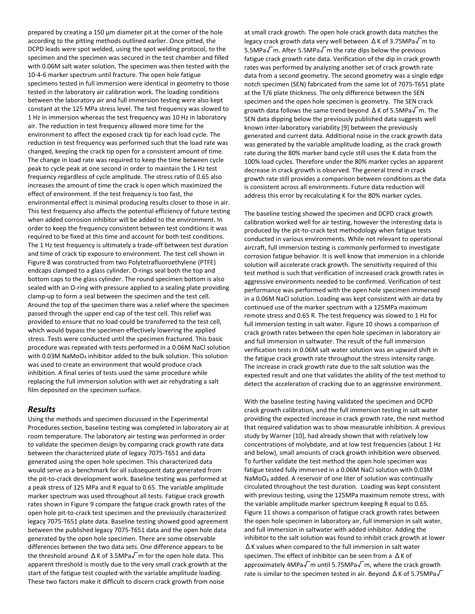prepared by creating a 150 µm diameter pit at the corner of the hole according to the pitting methods outlined earlier. Once pitted, the DCPD leads were spot welded, using the spot welding protocol, to the specimen and the specimen was secured in the test chamber and filled with 0.06M salt water solution. The specimen was then tested with the 10-4-6 marker spectrum until fracture. The open hole fatigue specimens tested in full immersion were identical in geometry to those tested in the laboratory air calibration work. The loading conditions between the laboratory air and full immersion testing were also kept constant at the 125 MPa stress level. The test frequency was slowed to 1 Hz in immersion whereas the test frequency was 10 Hz in laboratory air. The reduction in test frequency allowed more time for the environment to affect the exposed crack tip for each load cycle. The reduction in test frequency was performed such that the load rate was changed, keeping the crack tip open for a consistent amount of time. The change in load rate was required to keep the time between cycle peak to cycle peak at one second in order to maintain the 1 Hz test frequency regardless of cycle amplitude. The stress ratio of 0.65 also increases the amount of time the crack is open which maximized the effect of environment. If the test frequency is too fast, the environmental effect is minimal producing results closer to those in air. This test frequency also affects the potential efficiency of future testing when added corrosion inhibitor will be added to the environment. In order to keep the frequency consistent between test conditions it was required to be fixed at this time and account for both test conditions. The 1 Hz test frequency is ultimately a trade-off between test duration and time of crack tip exposure to environment. The test cell shown in Figure 8 was constructed from two Polytetrafluoroethylene (PTFE) endcaps clamped to a glass cylinder. O-rings seal both the top and bottom caps to the glass cylinder. The round specimen bottom is also sealed with an O-ring with pressure applied to a sealing plate providing clamp-up to form a seal between the specimen and the test cell. Around the top of the specimen there was a relief where the specimen passed through the upper end cap of the test cell. This relief was provided to ensure that no load could be transferred to the test cell, which would bypass the specimen effectively lowering the applied stress. Tests were conducted until the specimen fractured. This basic procedure was repeated with tests performed in a 0.06M NaCl solution with 0.03M NaMoO<sub>4</sub> inhibitor added to the bulk solution. This solution was used to create an environment that would produce crack inhibition. A final series of tests used the same procedure while replacing the full immersion solution with wet air rehydrating a salt film deposited on the specimen surface.

#### *Results*

Using the methods and specimen discussed in the Experimental Procedures section, baseline testing was completed in laboratory air at room temperature. The laboratory air testing was performed in order to validate the specimen design by comparing crack growth rate data between the characterized plate of legacy 7075-T651 and data generated using the open hole specimen. This characterized data would serve as a benchmark for all subsequent data generated from the pit-to-crack development work. Baseline testing was performed at a peak stress of 125 MPa and R equal to 0.65. The variable amplitude marker spectrum was used throughout all tests. Fatigue crack growth rates shown in Figure 9 compare the fatigue crack growth rates of the open hole pit-to-crack test specimen and the previously characterized legacy 7075-T651 plate data. Baseline testing showed good agreement between the published legacy 7075-T651 data and the open hole data generated by the open hole specimen. There are some observable differences between the two data sets. One difference appears to be the threshold around  $\Delta$  K of 3.5MPa $\sqrt{m}$  for the open hole data. This apparent threshold is mostly due to the very small crack growth at the start of the fatigue test coupled with the variable amplitude loading. These two factors make it difficult to discern crack growth from noise

at small crack growth. The open hole crack growth data matches the legacy crack growth data very well between  $\Delta$  K of 3.75MPa $\sqrt{m}$  to 5.5MPa√m. After 5.5MPa√m the rate dips below the previous fatigue crack growth rate data. Verification of the dip in crack growth rates was performed by analyzing another set of crack growth rate data from a second geometry. The second geometry was a single edge notch specimen (SEN) fabricated from the same lot of 7075-T651 plate at the T/6 plate thickness. The only difference between the SEN specimen and the open hole specimen is geometry. The SEN crack growth data follows the same trend beyond  $\Delta$  K of 5.5MPa $\sqrt{m}$ . The SEN data dipping below the previously published data suggests well known inter-laboratory variability [9] between the previously generated and current data. Additional noise in the crack growth data was generated by the variable amplitude loading, as the crack growth rate during the 80% marker band cycle still uses the K data from the 100% load cycles. Therefore under the 80% marker cycles an apparent decrease in crack growth is observed. The general trend in crack growth rate still provides a comparison between conditions as the data is consistent across all environments. Future data reduction will address this error by recalculating K for the 80% marker cycles.

The baseline testing showed the specimen and DCPD crack growth calibration worked well for air testing, however the interesting data is produced by the pit-to-crack test methodology when fatigue tests conducted in various environments. While not relevant to operational aircraft, full immersion testing is commonly performed to investigate corrosion fatigue behavior. It is well know that immersion in a chloride solution will accelerate crack growth. The sensitivity required of this test method is such that verification of increased crack growth rates in aggressive environments needed to be confirmed. Verification of test performance was performed with the open hole specimen immersed in a 0.06M NaCl solution. Loading was kept consistent with air data by continued use of the marker spectrum with a 125MPa maximum remote stress and 0.65 R. The test frequency was slowed to 1 Hz for full immersion testing in salt water. Figure 10 shows a comparison of crack growth rates between the open hole specimen in laboratory air and full immersion in saltwater. The result of the full immersion verification tests in 0.06M salt water solution was an upward shift in the fatigue crack growth rate throughout the stress intensity range. The increase in crack growth rate due to the salt solution was the expected result and one that validates the ability of the test method to detect the acceleration of cracking due to an aggressive environment.

With the baseline testing having validated the specimen and DCPD crack growth calibration, and the full immersion testing in salt water providing the expected increase in crack growth rate, the next method that required validation was to show measurable inhibition. A previous study by Warner [10], had already shown that with relatively low concentrations of molybdate, and at low test frequencies (about 1 Hz and below), small amounts of crack growth inhibition were observed. To further validate the test method the open hole specimen was fatigue tested fully immersed in a 0.06M NaCl solution with 0.03M NaMoO<sub>4</sub> added. A reservoir of one liter of solution was continually circulated throughout the test duration. Loading was kept consistent with previous testing, using the 125MPa maximum remote stress, with the variable amplitude marker spectrum keeping R equal to 0.65. Figure 11 shows a comparison of fatigue crack growth rates between the open hole specimen in laboratory air, full immersion in salt water, and full immersion in saltwater with added inhibitor. Adding the inhibitor to the salt solution was found to inhibit crack growth at lower ΔK values when compared to the full immersion in salt water specimen. The effect of inhibitor can be seen from a ΔK of approximately 4MPa√m until 5.75MPa√m, where the crack growth rate is similar to the specimen tested in air. Beyond  $\Delta$ K of 5.75MPa $\sqrt{\ }$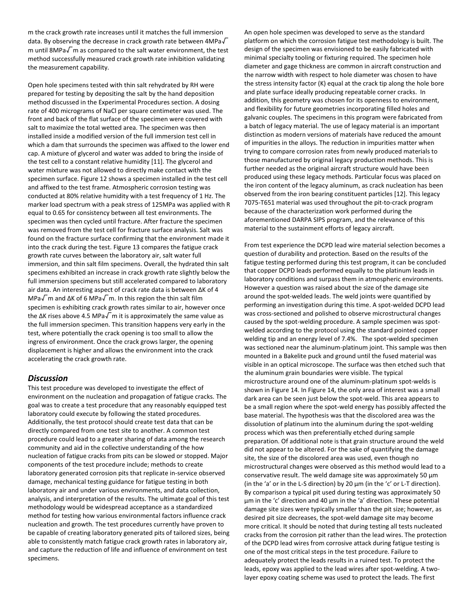m the crack growth rate increases until it matches the full immersion data. By observing the decrease in crack growth rate between 4MPa√ m until 8MPa√m as compared to the salt water environment, the test method successfully measured crack growth rate inhibition validating the measurement capability.

Open hole specimens tested with thin salt rehydrated by RH were prepared for testing by depositing the salt by the hand deposition method discussed in the Experimental Procedures section. A dosing rate of 400 micrograms of NaCl per square centimeter was used. The front and back of the flat surface of the specimen were covered with salt to maximize the total wetted area. The specimen was then installed inside a modified version of the full immersion test cell in which a dam that surrounds the specimen was affixed to the lower end cap. A mixture of glycerol and water was added to bring the inside of the test cell to a constant relative humidity [11]. The glycerol and water mixture was not allowed to directly make contact with the specimen surface. Figure 12 shows a specimen installed in the test cell and affixed to the test frame. Atmospheric corrosion testing was conducted at 80% relative humidity with a test frequency of 1 Hz. The marker load spectrum with a peak stress of 125MPa was applied with R equal to 0.65 for consistency between all test environments. The specimen was then cycled until fracture. After fracture the specimen was removed from the test cell for fracture surface analysis. Salt was found on the fracture surface confirming that the environment made it into the crack during the test. Figure 13 compares the fatigue crack growth rate curves between the laboratory air, salt water full immersion, and thin salt film specimens. Overall, the hydrated thin salt specimens exhibited an increase in crack growth rate slightly below the full immersion specimens but still accelerated compared to laboratory air data. An interesting aspect of crack rate data is between ΔK of 4 MPa√m and ΔK of 6 MPa√m. In this region the thin salt film specimen is exhibiting crack growth rates similar to air, however once the ΔK rises above 4.5 MPa√m it is approximately the same value as the full immersion specimen. This transition happens very early in the test, where potentially the crack opening is too small to allow the ingress of environment. Once the crack grows larger, the opening displacement is higher and allows the environment into the crack accelerating the crack growth rate.

# *Discussion*

This test procedure was developed to investigate the effect of environment on the nucleation and propagation of fatigue cracks. The goal was to create a test procedure that any reasonably equipped test laboratory could execute by following the stated procedures. Additionally, the test protocol should create test data that can be directly compared from one test site to another. A common test procedure could lead to a greater sharing of data among the research community and aid in the collective understanding of the how nucleation of fatigue cracks from pits can be slowed or stopped. Major components of the test procedure include; methods to create laboratory generated corrosion pits that replicate in-service observed damage, mechanical testing guidance for fatigue testing in both laboratory air and under various environments, and data collection, analysis, and interpretation of the results. The ultimate goal of this test methodology would be widespread acceptance as a standardized method for testing how various environmental factors influence crack nucleation and growth. The test procedures currently have proven to be capable of creating laboratory generated pits of tailored sizes, being able to consistently match fatigue crack growth rates in laboratory air, and capture the reduction of life and influence of environment on test specimens.

An open hole specimen was developed to serve as the standard platform on which the corrosion fatigue test methodology is built. The design of the specimen was envisioned to be easily fabricated with minimal specialty tooling or fixturing required. The specimen hole diameter and gage thickness are common in aircraft construction and the narrow width with respect to hole diameter was chosen to have the stress intensity factor (K) equal at the crack tip along the hole bore and plate surface ideally producing repeatable corner cracks. In addition, this geometry was chosen for its openness to environment, and flexibility for future geometries incorporating filled holes and galvanic couples. The specimens in this program were fabricated from a batch of legacy material. The use of legacy material is an important distinction as modern versions of materials have reduced the amount of impurities in the alloys. The reduction in impurities matter when trying to compare corrosion rates from newly produced materials to those manufactured by original legacy production methods. This is further needed as the original aircraft structure would have been produced using these legacy methods. Particular focus was placed on the iron content of the legacy aluminum, as crack nucleation has been observed from the iron bearing constituent particles [12]. This legacy 7075-T651 material was used throughout the pit-to-crack program because of the characterization work performed during the aforementioned DARPA SIPS program, and the relevance of this material to the sustainment efforts of legacy aircraft.

From test experience the DCPD lead wire material selection becomes a question of durability and protection. Based on the results of the fatigue testing performed during this test program, it can be concluded that copper DCPD leads performed equally to the platinum leads in laboratory conditions and surpass them in atmospheric environments. However a question was raised about the size of the damage site around the spot-welded leads. The weld joints were quantified by performing an investigation during this time. A spot-welded DCPD lead was cross-sectioned and polished to observe microstructural changes caused by the spot-welding procedure. A sample specimen was spotwelded according to the protocol using the standard pointed copper welding tip and an energy level of 7.4%. The spot-welded specimen was sectioned near the aluminum-platinum joint. This sample was then mounted in a Bakelite puck and ground until the fused material was visible in an optical microscope. The surface was then etched such that the aluminum grain boundaries were visible. The typical microstructure around one of the aluminum-platinum spot-welds is shown in Figure 14. In Figure 14, the only area of interest was a small dark area can be seen just below the spot-weld. This area appears to be a small region where the spot-weld energy has possibly affected the base material. The hypothesis was that the discolored area was the dissolution of platinum into the aluminum during the spot-welding process which was then preferentially etched during sample preparation. Of additional note is that grain structure around the weld did not appear to be altered. For the sake of quantifying the damage site, the size of the discolored area was used, even though no microstructural changes were observed as this method would lead to a conservative result. The weld damage site was approximately 50 µm (in the 'a' or in the L-S direction) by 20 µm (in the 'c' or L-T direction). By comparison a typical pit used during testing was approximately 50 µm in the 'c' direction and 40 µm in the 'a' direction. These potential damage site sizes were typically smaller than the pit size; however, as desired pit size decreases, the spot-weld damage site may become more critical. It should be noted that during testing all tests nucleated cracks from the corrosion pit rather than the lead wires. The protection of the DCPD lead wires from corrosive attack during fatigue testing is one of the most critical steps in the test procedure. Failure to adequately protect the leads results in a ruined test. To protect the leads, epoxy was applied to the lead wires after spot-welding. A twolayer epoxy coating scheme was used to protect the leads. The first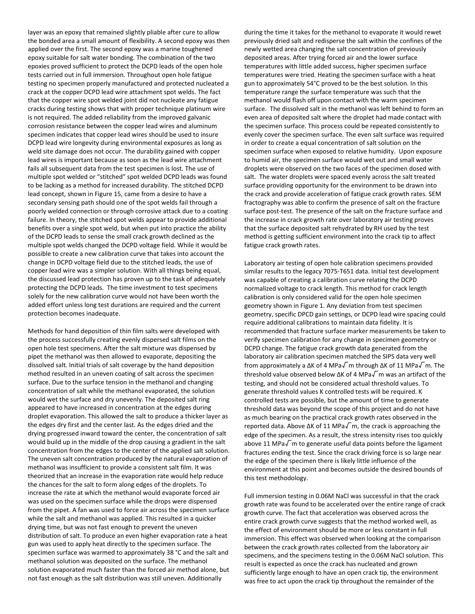layer was an epoxy that remained slightly pliable after cure to allow the bonded area a small amount of flexibility. A second epoxy was then applied over the first. The second epoxy was a marine toughened epoxy suitable for salt water bonding. The combination of the two epoxies proved sufficient to protect the DCPD leads of the open hole tests carried out in full immersion. Throughout open hole fatigue testing no specimen properly manufactured and protected nucleated a crack at the copper DCPD lead wire attachment spot welds. The fact that the copper wire spot welded joint did not nucleate any fatigue cracks during testing shows that with proper technique platinum wire is not required. The added reliability from the improved galvanic corrosion resistance between the copper lead wires and aluminum specimen indicates that copper lead wires should be used to insure DCPD lead wire longevity during environmental exposures as long as weld site damage does not occur. The durability gained with copper lead wires is important because as soon as the lead wire attachment fails all subsequent data from the test specimen is lost. The use of multiple spot welded or "stitched" spot welded DCPD leads was found to be lacking as a method for increased durability. The stitched DCPD lead concept, shown in Figure 15, came from a desire to have a secondary sensing path should one of the spot welds fail through a poorly welded connection or through corrosive attack due to a coating failure. In theory, the stitched spot welds appear to provide additional benefits over a single spot weld, but when put into practice the ability of the DCPD leads to sense the small crack growth declined as the multiple spot welds changed the DCPD voltage field. While it would be possible to create a new calibration curve that takes into account the change in DCPD voltage field due to the stitched leads, the use of copper lead wire was a simpler solution. With all things being equal, the discussed lead protection has proven up to the task of adequately protecting the DCPD leads. The time investment to test specimens solely for the new calibration curve would not have been worth the added effort unless long test durations are required and the current protection becomes inadequate.

Methods for hand deposition of thin film salts were developed with the process successfully creating evenly dispersed salt films on the open hole test specimens. After the salt mixture was dispensed by pipet the methanol was then allowed to evaporate, depositing the dissolved salt. Initial trials of salt coverage by the hand deposition method resulted in an uneven coating of salt across the specimen surface. Due to the surface tension in the methanol and changing concentration of salt while the methanol evaporated, the solution would wet the surface and dry unevenly. The deposited salt ring appeared to have increased in concentration at the edges during droplet evaporation. This allowed the salt to produce a thicker layer as the edges dry first and the center last. As the edges dried and the drying progressed inward toward the center, the concentration of salt would build up in the middle of the drop causing a gradient in the salt concentration from the edges to the center of the applied salt solution. The uneven salt concentration produced by the natural evaporation of methanol was insufficient to provide a consistent salt film. It was theorized that an increase in the evaporation rate would help reduce the chances for the salt to form along edges of the droplets. To increase the rate at which the methanol would evaporate forced air was used on the specimen surface while the drops were dispensed from the pipet. A fan was used to force air across the specimen surface while the salt and methanol was applied. This resulted in a quicker drying time, but was not fast enough to prevent the uneven distribution of salt. To produce an even higher evaporation rate a heat gun was used to apply heat directly to the specimen surface. The specimen surface was warmed to approximately 38 °C and the salt and methanol solution was deposited on the surface. The methanol solution evaporated much faster than the forced air method alone, but not fast enough as the salt distribution was still uneven. Additionally

during the time it takes for the methanol to evaporate it would rewet previously dried salt and redisperse the salt within the confines of the newly wetted area changing the salt concentration of previously deposited areas. After trying forced air and the lower surface temperatures with little added success, higher specimen surface temperatures were tried. Heating the specimen surface with a heat gun to approximately 54°C proved to be the best solution. In this temperature range the surface temperature was such that the methanol would flash off upon contact with the warm specimen surface. The dissolved salt in the methanol was left behind to form an even area of deposited salt where the droplet had made contact with the specimen surface. This process could be repeated consistently to evenly cover the specimen surface. The even salt surface was required in order to create a equal concentration of salt solution on the specimen surface when exposed to relative humidity. Upon exposure to humid air, the specimen surface would wet out and small water droplets were observed on the two faces of the specimen dosed with salt. The water droplets were spaced evenly across the salt treated surface providing opportunity for the environment to be drawn into the crack and provide acceleration of fatigue crack growth rates. SEM fractography was able to confirm the presence of salt on the fracture surface post-test. The presence of the salt on the fracture surface and the increase in crack growth rate over laboratory air testing proves that the surface deposited salt rehydrated by RH used by the test method is getting sufficient environment into the crack tip to affect fatigue crack growth rates.

Laboratory air testing of open hole calibration specimens provided similar results to the legacy 7075-T651 data. Initial test development was capable of creating a calibration curve relating the DCPD normalized voltage to crack length. This method for crack length calibration is only considered valid for the open hole specimen geometry shown in Figure 1. Any deviation from test specimen geometry, specific DPCD gain settings, or DCPD lead wire spacing could require additional calibrations to maintain data fidelity. It is recommended that fracture surface marker measurements be taken to verify specimen calibration for any change in specimen geometry or DCPD change. The fatigue crack growth data generated from the laboratory air calibration specimen matched the SIPS data very well from approximately a ΔK of 4 MPa√m through ΔK of 11 MPa√m. The threshold value observed below ΔK of 4 MPa√m was an artifact of the testing, and should not be considered actual threshold values. To generate threshold values K controlled tests will be required. K controlled tests are possible, but the amount of time to generate threshold data was beyond the scope of this project and do not have as much bearing on the practical crack growth rates observed in the reported data. Above ΔK of 11 MPa√m, the crack is approaching the edge of the specimen. As a result, the stress intensity rises too quickly above 11 MPa $\sqrt{m}$  to generate useful data points before the ligament fractures ending the test. Since the crack driving force is so large near the edge of the specimen there is likely little influence of the environment at this point and becomes outside the desired bounds of this test methodology.

Full immersion testing in 0.06M NaCl was successful in that the crack growth rate was found to be accelerated over the entire range of crack growth curve. The fact that acceleration was observed across the entire crack growth curve suggests that the method worked well, as the effect of environment should be more or less constant in full immersion. This effect was observed when looking at the comparison between the crack growth rates collected from the laboratory air specimens, and the specimens testing in the 0.06M NaCl solution. This result is expected as once the crack has nucleated and grown sufficiently large enough to have an open crack tip, the environment was free to act upon the crack tip throughout the remainder of the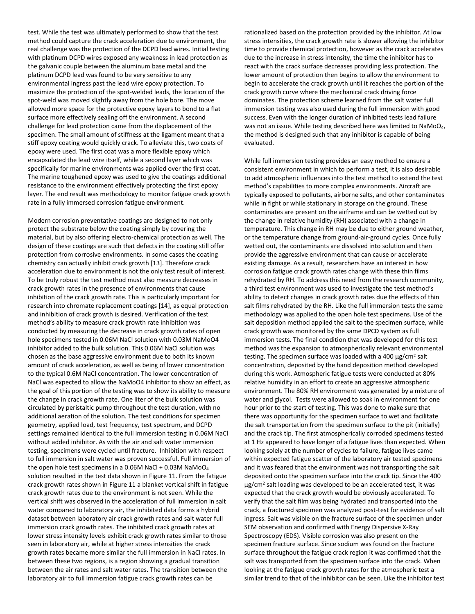test. While the test was ultimately performed to show that the test method could capture the crack acceleration due to environment, the real challenge was the protection of the DCPD lead wires. Initial testing with platinum DCPD wires exposed any weakness in lead protection as the galvanic couple between the aluminum base metal and the platinum DCPD lead was found to be very sensitive to any environmental ingress past the lead wire epoxy protection. To maximize the protection of the spot-welded leads, the location of the spot-weld was moved slightly away from the hole bore. The move allowed more space for the protective epoxy layers to bond to a flat surface more effectively sealing off the environment. A second challenge for lead protection came from the displacement of the specimen. The small amount of stiffness at the ligament meant that a stiff epoxy coating would quickly crack. To alleviate this, two coats of epoxy were used. The first coat was a more flexible epoxy which encapsulated the lead wire itself, while a second layer which was specifically for marine environments was applied over the first coat. The marine toughened epoxy was used to give the coatings additional resistance to the environment effectively protecting the first epoxy layer. The end result was methodology to monitor fatigue crack growth rate in a fully immersed corrosion fatigue environment.

Modern corrosion preventative coatings are designed to not only protect the substrate below the coating simply by covering the material, but by also offering electro-chemical protection as well. The design of these coatings are such that defects in the coating still offer protection from corrosive environments. In some cases the coating chemistry can actually inhibit crack growth [13]. Therefore crack acceleration due to environment is not the only test result of interest. To be truly robust the test method must also measure decreases in crack growth rates in the presence of environments that cause inhibition of the crack growth rate. This is particularly important for research into chromate replacement coatings [14], as equal protection and inhibition of crack growth is desired. Verification of the test method's ability to measure crack growth rate inhibition was conducted by measuring the decrease in crack growth rates of open hole specimens tested in 0.06M NaCl solution with 0.03M NaMoO4 inhibitor added to the bulk solution. This 0.06M NaCl solution was chosen as the base aggressive environment due to both its known amount of crack acceleration, as well as being of lower concentration to the typical 0.6M NaCl concentration. The lower concentration of NaCl was expected to allow the NaMoO4 inhibitor to show an effect, as the goal of this portion of the testing was to show its ability to measure the change in crack growth rate. One liter of the bulk solution was circulated by peristaltic pump throughout the test duration, with no additional aeration of the solution. The test conditions for specimen geometry, applied load, test frequency, test spectrum, and DCPD settings remained identical to the full immersion testing in 0.06M NaCl without added inhibitor. As with the air and salt water immersion testing, specimens were cycled until fracture. Inhibition with respect to full immersion in salt water was proven successful. Full immersion of the open hole test specimens in a  $0.06M$  NaCl +  $0.03M$  NaMoO<sub>4</sub> solution resulted in the test data shown in Figure 11. From the fatigue crack growth rates shown in Figure 11 a blanket vertical shift in fatigue crack growth rates due to the environment is not seen. While the vertical shift was observed in the acceleration of full immersion in salt water compared to laboratory air, the inhibited data forms a hybrid dataset between laboratory air crack growth rates and salt water full immersion crack growth rates. The inhibited crack growth rates at lower stress intensity levels exhibit crack growth rates similar to those seen in laboratory air, while at higher stress intensities the crack growth rates became more similar the full immersion in NaCl rates. In between these two regions, is a region showing a gradual transition between the air rates and salt water rates. The transition between the laboratory air to full immersion fatigue crack growth rates can be

rationalized based on the protection provided by the inhibitor. At low stress intensities, the crack growth rate is slower allowing the inhibitor time to provide chemical protection, however as the crack accelerates due to the increase in stress intensity, the time the inhibitor has to react with the crack surface decreases providing less protection. The lower amount of protection then begins to allow the environment to begin to accelerate the crack growth until it reaches the portion of the crack growth curve where the mechanical crack driving force dominates. The protection scheme learned from the salt water full immersion testing was also used during the full immersion with good success. Even with the longer duration of inhibited tests lead failure was not an issue. While testing described here was limited to NaMoO<sub>4</sub>, the method is designed such that any inhibitor is capable of being evaluated.

While full immersion testing provides an easy method to ensure a consistent environment in which to perform a test, it is also desirable to add atmospheric influences into the test method to extend the test method's capabilities to more complex environments. Aircraft are typically exposed to pollutants, airborne salts, and other contaminates while in fight or while stationary in storage on the ground. These contaminates are present on the airframe and can be wetted out by the change in relative humidity (RH) associated with a change in temperature. This change in RH may be due to either ground weather, or the temperature change from ground-air-ground cycles. Once fully wetted out, the contaminants are dissolved into solution and then provide the aggressive environment that can cause or accelerate existing damage. As a result, researchers have an interest in how corrosion fatigue crack growth rates change with these thin films rehydrated by RH. To address this need from the research community, a third test environment was used to investigate the test method's ability to detect changes in crack growth rates due the effects of thin salt films rehydrated by the RH. Like the full immersion tests the same methodology was applied to the open hole test specimens. Use of the salt deposition method applied the salt to the specimen surface, while crack growth was monitored by the same DPCD system as full immersion tests. The final condition that was developed for this test method was the expansion to atmospherically relevant environmental testing. The specimen surface was loaded with a 400  $\mu$ g/cm<sup>2</sup> salt concentration, deposited by the hand deposition method developed during this work. Atmospheric fatigue tests were conducted at 80% relative humidity in an effort to create an aggressive atmospheric environment. The 80% RH environment was generated by a mixture of water and glycol. Tests were allowed to soak in environment for one hour prior to the start of testing. This was done to make sure that there was opportunity for the specimen surface to wet and facilitate the salt transportation from the specimen surface to the pit (initially) and the crack tip. The first atmospherically corroded specimens tested at 1 Hz appeared to have longer of a fatigue lives than expected. When looking solely at the number of cycles to failure, fatigue lives came within expected fatigue scatter of the laboratory air tested specimens and it was feared that the environment was not transporting the salt deposited onto the specimen surface into the crack tip. Since the 400 µg/cm<sup>2</sup> salt loading was developed to be an accelerated test, it was expected that the crack growth would be obviously accelerated. To verify that the salt film was being hydrated and transported into the crack, a fractured specimen was analyzed post-test for evidence of salt ingress. Salt was visible on the fracture surface of the specimen under SEM observation and confirmed with Energy Dispersive X-Ray Spectroscopy (EDS). Visible corrosion was also present on the specimen fracture surface. Since sodium was found on the fracture surface throughout the fatigue crack region it was confirmed that the salt was transported from the specimen surface into the crack. When looking at the fatigue crack growth rates for the atmospheric test a similar trend to that of the inhibitor can be seen. Like the inhibitor test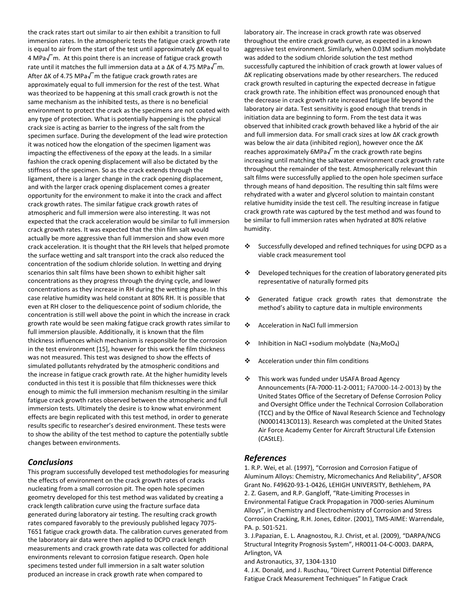the crack rates start out similar to air then exhibit a transition to full immersion rates. In the atmospheric tests the fatigue crack growth rate is equal to air from the start of the test until approximately ∆K equal to 4 MPa $√$ m. At this point there is an increase of fatigue crack growth rate until it matches the full immersion data at a ∆K of 4.75 MPa√m. After ∆K of 4.75 MPa√m the fatigue crack growth rates are approximately equal to full immersion for the rest of the test. What was theorized to be happening at this small crack growth is not the same mechanism as the inhibited tests, as there is no beneficial environment to protect the crack as the specimens are not coated with any type of protection. What is potentially happening is the physical crack size is acting as barrier to the ingress of the salt from the specimen surface. During the development of the lead wire protection it was noticed how the elongation of the specimen ligament was impacting the effectiveness of the epoxy at the leads. In a similar fashion the crack opening displacement will also be dictated by the stiffness of the specimen. So as the crack extends through the ligament, there is a larger change in the crack opening displacement, and with the larger crack opening displacement comes a greater opportunity for the environment to make it into the crack and affect crack growth rates. The similar fatigue crack growth rates of atmospheric and full immersion were also interesting. It was not expected that the crack acceleration would be similar to full immersion crack growth rates. It was expected that the thin film salt would actually be more aggressive than full immersion and show even more crack acceleration. It is thought that the RH levels that helped promote the surface wetting and salt transport into the crack also reduced the concentration of the sodium chloride solution. In wetting and drying scenarios thin salt films have been shown to exhibit higher salt concentrations as they progress through the drying cycle, and lower concentrations as they increase in RH during the wetting phase. In this case relative humidity was held constant at 80% RH. It is possible that even at RH closer to the deliquescence point of sodium chloride, the concentration is still well above the point in which the increase in crack growth rate would be seen making fatigue crack growth rates similar to full immersion plausible. Additionally, it is known that the film thickness influences which mechanism is responsible for the corrosion in the test environment [15], however for this work the film thickness was not measured. This test was designed to show the effects of simulated pollutants rehydrated by the atmospheric conditions and the increase in fatigue crack growth rate. At the higher humidity levels conducted in this test it is possible that film thicknesses were thick enough to mimic the full immersion mechanism resulting in the similar fatigue crack growth rates observed between the atmospheric and full immersion tests. Ultimately the desire is to know what environment effects are begin replicated with this test method, in order to generate results specific to researcher's desired environment. These tests were to show the ability of the test method to capture the potentially subtle changes between environments.

# *Conclusions*

This program successfully developed test methodologies for measuring the effects of environment on the crack growth rates of cracks nucleating from a small corrosion pit. The open hole specimen geometry developed for this test method was validated by creating a crack length calibration curve using the fracture surface data generated during laboratory air testing. The resulting crack growth rates compared favorably to the previously published legacy 7075- T651 fatigue crack growth data. The calibration curves generated from the laboratory air data were then applied to DCPD crack length measurements and crack growth rate data was collected for additional environments relevant to corrosion fatigue research. Open hole specimens tested under full immersion in a salt water solution produced an increase in crack growth rate when compared to

laboratory air. The increase in crack growth rate was observed throughout the entire crack growth curve, as expected in a known aggressive test environment. Similarly, when 0.03M sodium molybdate was added to the sodium chloride solution the test method successfully captured the inhibition of crack growth at lower values of ΔK replicating observations made by other researchers. The reduced crack growth resulted in capturing the expected decrease in fatigue crack growth rate. The inhibition effect was pronounced enough that the decrease in crack growth rate increased fatigue life beyond the laboratory air data. Test sensitivity is good enough that trends in initiation data are beginning to form. From the test data it was observed that inhibited crack growth behaved like a hybrid of the air and full immersion data. For small crack sizes at low ∆K crack growth was below the air data (inhibited region), however once the ∆K reaches approximately 6MPa√m the crack growth rate begins increasing until matching the saltwater environment crack growth rate throughout the remainder of the test. Atmospherically relevant thin salt films were successfully applied to the open hole specimen surface through means of hand deposition. The resulting thin salt films were rehydrated with a water and glycerol solution to maintain constant relative humidity inside the test cell. The resulting increase in fatigue crack growth rate was captured by the test method and was found to be similar to full immersion rates when hydrated at 80% relative humidity.

- Successfully developed and refined techniques for using DCPD as a viable crack measurement tool
- Developed techniques for the creation of laboratory generated pits representative of naturally formed pits
- Generated fatigue crack growth rates that demonstrate the method's ability to capture data in multiple environments
- Acceleration in NaCl full immersion
- $\cdot \cdot$  Inhibition in NaCl +sodium molybdate (Na<sub>2</sub>MoO<sub>4</sub>)
- ❖ Acceleration under thin film conditions
- This work was funded under USAFA Broad Agency Announcements (FA-7000-11-2-0011; FA7000-14-2-0013) by the United States Office of the Secretary of Defense Corrosion Policy and Oversight Office under the Technical Corrosion Collaboration (TCC) and by the Office of Naval Research Science and Technology (N0001413C0113). Research was completed at the United States Air Force Academy Center for Aircraft Structural Life Extension (CAStLE).

# *References*

1. R.P. Wei, et al. (1997), "Corrosion and Corrosion Fatigue of Aluminum Alloys: Chemistry, Micromechanics And Reliability", AFSOR Grant No. F49620-93-1-0426, LEHIGH UNIVERSITY, Bethlehem, PA 2. Z. Gasem, and R.P. Gangloff, "Rate-Limiting Processes in Environmental Fatigue Crack Propagation in 7000-series Aluminum Alloys", in Chemistry and Electrochemistry of Corrosion and Stress Corrosion Cracking, R.H. Jones, Editor. (2001), TMS-AIME: Warrendale, PA. p. 501-521.

3. J.Papazian, E. L. Anagnostou, R.J. Christ, et al. (2009), "DARPA/NCG Structural Integrity Prognosis System", HR0011-04-C-0003. DARPA, Arlington, VA

and Astronautics, 37, 1304-1310

4. J.K. Donald, and J. Ruschau, "Direct Current Potential Difference Fatigue Crack Measurement Techniques" In Fatigue Crack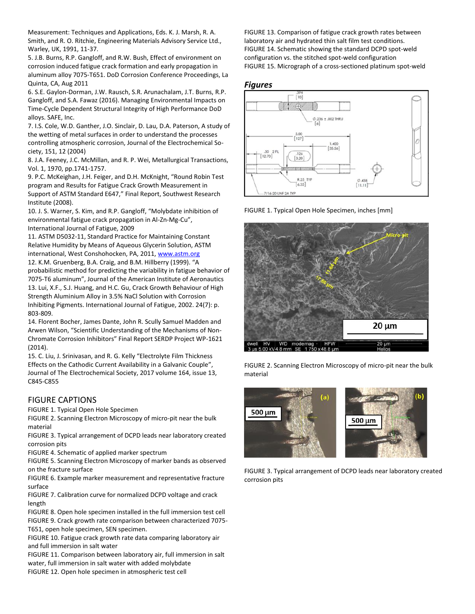Measurement: Techniques and Applications, Eds. K. J. Marsh, R. A. Smith, and R. O. Ritchie, Engineering Materials Advisory Service Ltd., Warley, UK, 1991, 11-37.

5. J.B. Burns, R.P. Gangloff, and R.W. Bush, Effect of environment on corrosion induced fatigue crack formation and early propagation in aluminum alloy 7075-T651. DoD Corrosion Conference Proceedings, La Quinta, CA, Aug 2011

6. S.E. Gaylon-Dorman, J.W. Rausch, S.R. Arunachalam, J.T. Burns, R.P. Gangloff, and S.A. Fawaz (2016). Managing Environmental Impacts on Time-Cycle Dependent Structural Integrity of High Performance DoD alloys. SAFE, Inc.

7. I.S. Cole, W.D. Ganther, J.O. Sinclair, D. Lau, D.A. Paterson, A study of the wetting of metal surfaces in order to understand the processes controlling atmospheric corrosion, Journal of the Electrochemical Society, 151, 12 (2004)

8. J.A. Feeney, J.C. McMillan, and R. P. Wei, Metallurgical Transactions, Vol. 1, 1970, pp.1741-1757.

9. P.C. McKeighan, J.H. Feiger, and D.H. McKnight, "Round Robin Test program and Results for Fatigue Crack Growth Measurement in Support of ASTM Standard E647," Final Report, Southwest Research Institute (2008).

10. J. S. Warner, S. Kim, and R.P. Gangloff, "Molybdate inhibition of environmental fatigue crack propagation in Al-Zn-Mg-Cu", International Journal of Fatigue, 2009

11. ASTM D5032-11, Standard Practice for Maintaining Constant Relative Humidity by Means of Aqueous Glycerin Solution, ASTM international, West Conshohocken, PA, 2011[, www.astm.org](http://www.astm.org/)

12. K.M. Gruenberg, B.A. Craig, and B.M. Hillberry (1999). "A probabilistic method for predicting the variability in fatigue behavior of 7075-T6 aluminum", Journal of the American Institute of Aeronautics 13. Lui, X.F., S.J. Huang, and H.C. Gu, Crack Growth Behaviour of High Strength Aluminium Alloy in 3.5% NaCl Solution with Corrosion Inhibiting Pigments. International Journal of Fatigue, 2002. 24(7): p. 803-809.

14. Florent Bocher, James Dante, John R. Scully Samuel Madden and Arwen Wilson, "Scientific Understanding of the Mechanisms of Non-Chromate Corrosion Inhibitors" Final Report SERDP Project WP-1621 (2014).

15. C. Liu, J. Srinivasan, and R. G. Kelly "Electrolyte Film Thickness Effects on the Cathodic Current Availability in a Galvanic Couple", Journal of The Electrochemical Society, 2017 volume 164, issue 13, C845-C855

# FIGURE CAPTIONS

FIGURE 1. Typical Open Hole Specimen

FIGURE 2. Scanning Electron Microscopy of micro-pit near the bulk material

FIGURE 3. Typical arrangement of DCPD leads near laboratory created corrosion pits

FIGURE 4. Schematic of applied marker spectrum

FIGURE 5. Scanning Electron Microscopy of marker bands as observed on the fracture surface

FIGURE 6. Example marker measurement and representative fracture surface

FIGURE 7. Calibration curve for normalized DCPD voltage and crack length

FIGURE 8. Open hole specimen installed in the full immersion test cell FIGURE 9. Crack growth rate comparison between characterized 7075- T651, open hole specimen, SEN specimen.

FIGURE 10. Fatigue crack growth rate data comparing laboratory air and full immersion in salt water

FIGURE 11. Comparison between laboratory air, full immersion in salt water, full immersion in salt water with added molybdate FIGURE 12. Open hole specimen in atmospheric test cell

FIGURE 13. Comparison of fatigue crack growth rates between laboratory air and hydrated thin salt film test conditions. FIGURE 14. Schematic showing the standard DCPD spot-weld configuration vs. the stitched spot-weld configuration FIGURE 15. Micrograph of a cross-sectioned platinum spot-weld

# *Figures*



FIGURE 1. Typical Open Hole Specimen, inches [mm]



FIGURE 2. Scanning Electron Microscopy of micro-pit near the bulk material



FIGURE 3. Typical arrangement of DCPD leads near laboratory created corrosion pits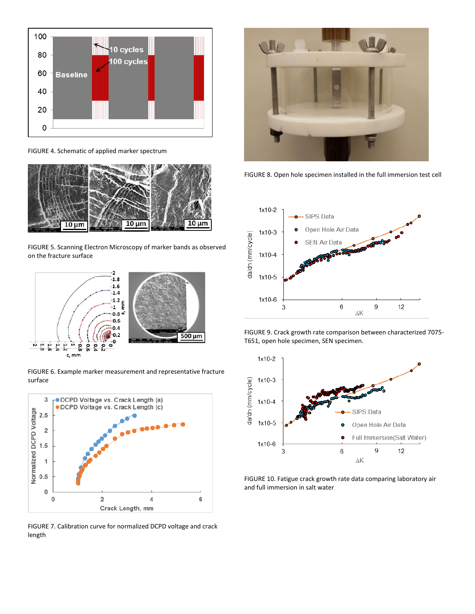

FIGURE 4. Schematic of applied marker spectrum



FIGURE 5. Scanning Electron Microscopy of marker bands as observed on the fracture surface



FIGURE 6. Example marker measurement and representative fracture surface



FIGURE 7. Calibration curve for normalized DCPD voltage and crack length



FIGURE 8. Open hole specimen installed in the full immersion test cell



FIGURE 9. Crack growth rate comparison between characterized 7075- T651, open hole specimen, SEN specimen.



FIGURE 10. Fatigue crack growth rate data comparing laboratory air and full immersion in salt water